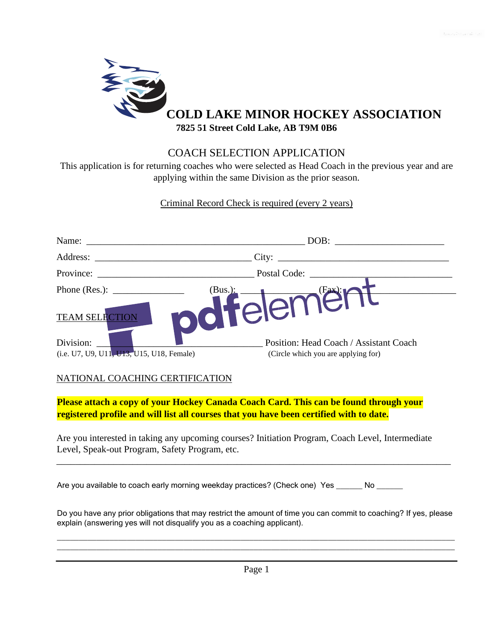

## COACH SELECTION APPLICATION

This application is for returning coaches who were selected as Head Coach in the previous year and are applying within the same Division as the prior season.

Criminal Record Check is required (every 2 years)

| Name:                                                    | DOB:                                   |
|----------------------------------------------------------|----------------------------------------|
| Address:                                                 | City:                                  |
| Province:                                                | Postal Code: _                         |
| Phone (Res.): $\_\_$<br>(Bus.):<br><b>TEAM SELECTION</b> | (Fax):r<br>Teleme                      |
| Division:                                                | Position: Head Coach / Assistant Coach |
| (i.e. U7, U9, U11, U13, U15, U18, Female)                | (Circle which you are applying for)    |

## NATIONAL COACHING CERTIFICATION

**Please attach a copy of your Hockey Canada Coach Card. This can be found through your registered profile and will list all courses that you have been certified with to date.** 

Are you interested in taking any upcoming courses? Initiation Program, Coach Level, Intermediate Level, Speak-out Program, Safety Program, etc.

Are you available to coach early morning weekday practices? (Check one) Yes \_\_\_\_\_\_ No \_\_\_\_\_\_

Do you have any prior obligations that may restrict the amount of time you can commit to coaching? If yes, please explain (answering yes will not disqualify you as a coaching applicant).

\_\_\_\_\_\_\_\_\_\_\_\_\_\_\_\_\_\_\_\_\_\_\_\_\_\_\_\_\_\_\_\_\_\_\_\_\_\_\_\_\_\_\_\_\_\_\_\_\_\_\_\_\_\_\_\_\_\_\_\_\_\_\_\_\_\_\_\_\_\_\_\_\_\_\_\_\_\_\_\_\_\_\_\_\_\_\_\_\_\_\_ \_\_\_\_\_\_\_\_\_\_\_\_\_\_\_\_\_\_\_\_\_\_\_\_\_\_\_\_\_\_\_\_\_\_\_\_\_\_\_\_\_\_\_\_\_\_\_\_\_\_\_\_\_\_\_\_\_\_\_\_\_\_\_\_\_\_\_\_\_\_\_\_\_\_\_\_\_\_\_\_\_\_\_\_\_\_\_\_\_\_\_

\_\_\_\_\_\_\_\_\_\_\_\_\_\_\_\_\_\_\_\_\_\_\_\_\_\_\_\_\_\_\_\_\_\_\_\_\_\_\_\_\_\_\_\_\_\_\_\_\_\_\_\_\_\_\_\_\_\_\_\_\_\_\_\_\_\_\_\_\_\_\_\_\_\_\_\_\_\_\_\_\_\_\_